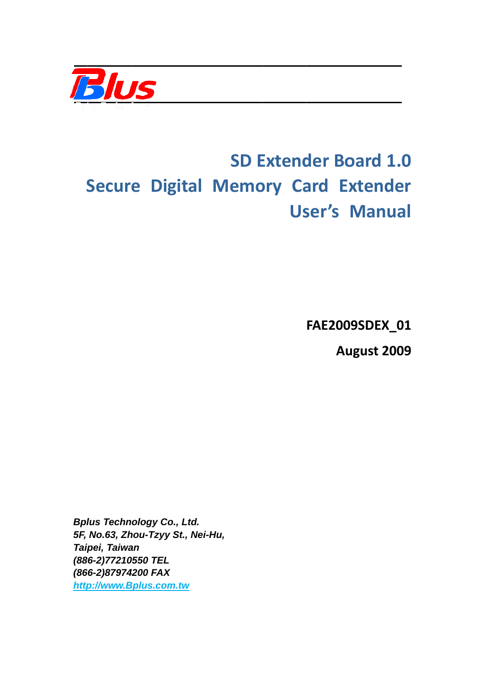

# **Secure Digital Memory Card Extender SD Extender Board 1.0** User's Manual

**FAE200 9SDEX\_ \_01**

**Au ugust 20 009**

*Bplus Technology Co., Ltd. 5F, No.63, Zh hou-Tzyy S St., Nei-Hu u, Taip ipei, Taiwa an (88 86-2)77210 0550 TEL (86 66-2)87974 4200 FAX http p://www.B Bplus.com m.tw*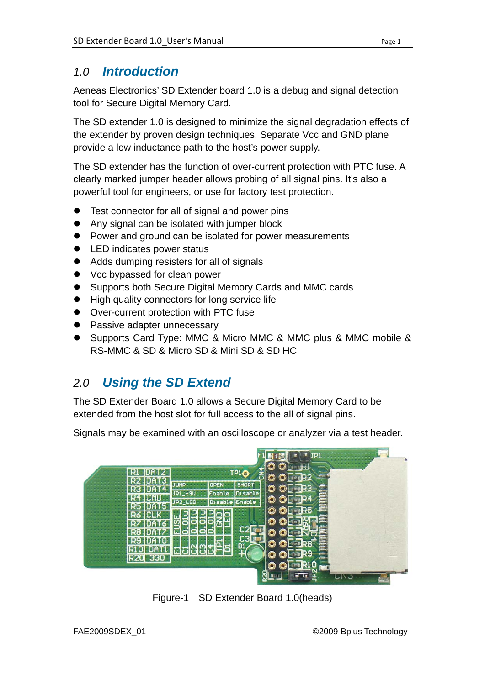#### *1.0 Introduction*

Aeneas Electronics' SD Extender board 1.0 is a debug and signal detection tool for Secure Digital Memory Card.

The SD extender 1.0 is designed to minimize the signal degradation effects of the extender by proven design techniques. Separate Vcc and GND plane provide a low inductance path to the host's power supply.

The SD extender has the function of over-current protection with PTC fuse. A clearly marked jumper header allows probing of all signal pins. It's also a powerful tool for engineers, or use for factory test protection.

- Test connector for all of signal and power pins
- Any signal can be isolated with jumper block
- Power and ground can be isolated for power measurements
- LED indicates power status
- Adds dumping resisters for all of signals
- Vcc bypassed for clean power
- Supports both Secure Digital Memory Cards and MMC cards
- High quality connectors for long service life
- **D** Over-current protection with PTC fuse
- Passive adapter unnecessary
- Supports Card Type: MMC & Micro MMC & MMC plus & MMC mobile & RS-MMC & SD & Micro SD & Mini SD & SD HC

# *2.0 Using the SD Extend*

The SD Extender Board 1.0 allows a Secure Digital Memory Card to be extended from the host slot for full access to the all of signal pins.

Signals may be examined with an oscilloscope or analyzer via a test header.



Figure-1 SD Extender Board 1.0(heads)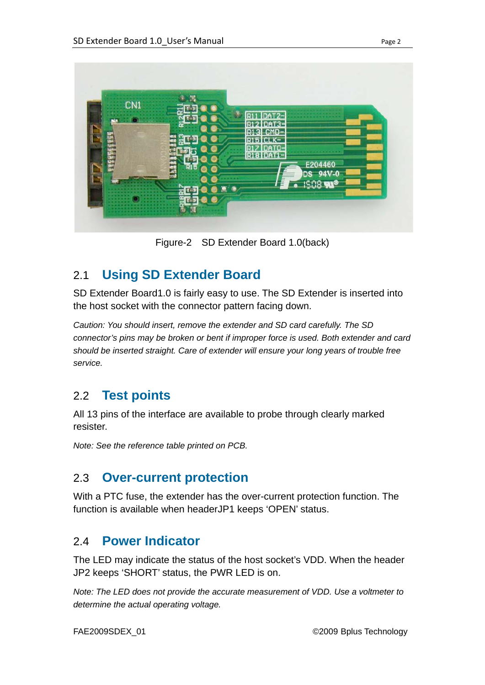

Figure-2 SD Extender Board 1.0(back)

## 2.1 **Using SD Extender Board**

SD Extender Board1.0 is fairly easy to use. The SD Extender is inserted into the host socket with the connector pattern facing down.

*Caution: You should insert, remove the extender and SD card carefully. The SD connector's pins may be broken or bent if improper force is used. Both extender and card should be inserted straight. Care of extender will ensure your long years of trouble free service.* 

## 2.2 **Test points**

All 13 pins of the interface are available to probe through clearly marked resister.

*Note: See the reference table printed on PCB.*

#### 2.3 **Over-current protection**

With a PTC fuse, the extender has the over-current protection function. The function is available when headerJP1 keeps 'OPEN' status.

#### 2.4 **Power Indicator**

The LED may indicate the status of the host socket's VDD. When the header JP2 keeps 'SHORT' status, the PWR LED is on.

*Note: The LED does not provide the accurate measurement of VDD. Use a voltmeter to determine the actual operating voltage.*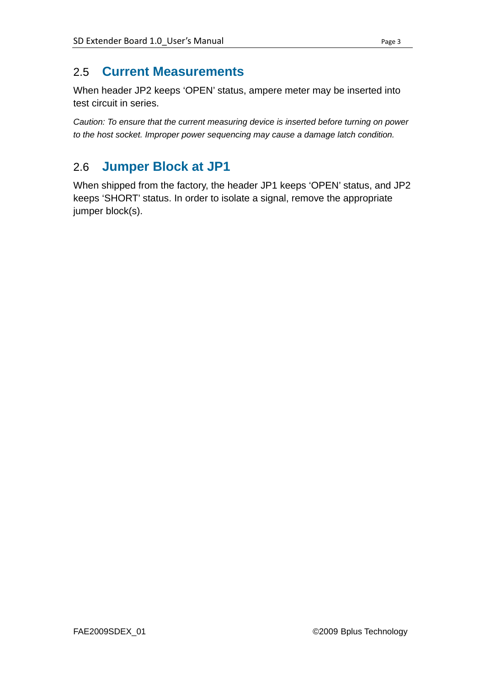#### 2.5 **Current Measurements**

When header JP2 keeps 'OPEN' status, ampere meter may be inserted into test circuit in series.

*Caution: To ensure that the current measuring device is inserted before turning on power to the host socket. Improper power sequencing may cause a damage latch condition.*

## 2.6 **Jumper Block at JP1**

When shipped from the factory, the header JP1 keeps 'OPEN' status, and JP2 keeps 'SHORT' status. In order to isolate a signal, remove the appropriate jumper block(s).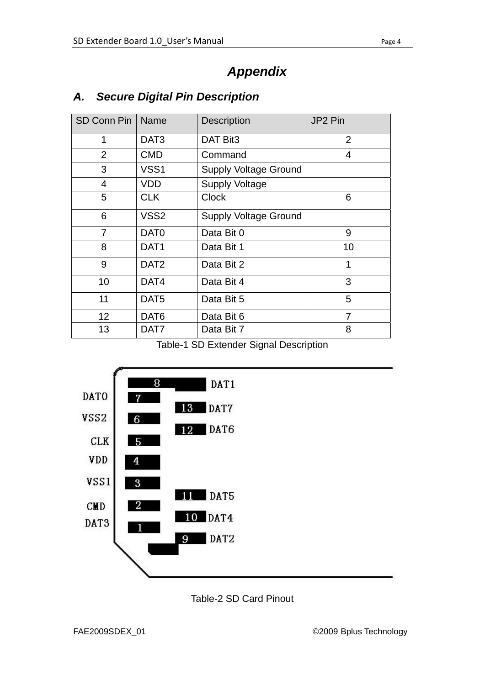# *Appendix*

| <b>SD Conn Pin</b> | Name             | Description                  | JP2 Pin        |
|--------------------|------------------|------------------------------|----------------|
| 1                  | DAT <sub>3</sub> | DAT Bit3                     | $\overline{2}$ |
| $\overline{2}$     | <b>CMD</b>       | Command                      | 4              |
| 3                  | VSS1             | <b>Supply Voltage Ground</b> |                |
| 4                  | VDD              | <b>Supply Voltage</b>        |                |
| 5                  | <b>CLK</b>       | <b>Clock</b>                 | 6              |
| 6                  | VSS <sub>2</sub> | <b>Supply Voltage Ground</b> |                |
| 7                  | DAT <sub>0</sub> | Data Bit 0                   | 9              |
| 8                  | DAT <sub>1</sub> | Data Bit 1                   | 10             |
| 9                  | DAT <sub>2</sub> | Data Bit 2                   | 1              |
| 10                 | DAT4             | Data Bit 4                   | 3              |
| 11                 | DAT <sub>5</sub> | Data Bit 5                   | 5              |
| 12                 | DAT <sub>6</sub> | Data Bit 6                   | 7              |
| 13                 | DAT7             | Data Bit 7                   | 8              |

#### *A. Secure Digital Pin Description*

Table-1 SD Extender Signal Description



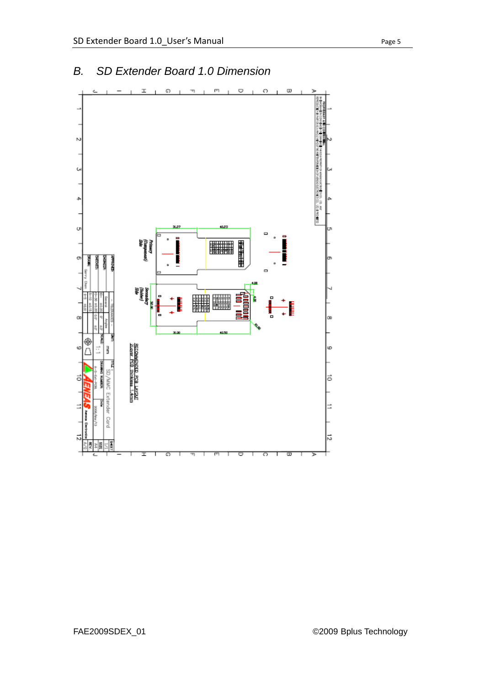

#### *B. SD Extender Board 1.0 Dimension*